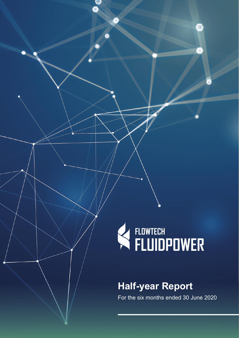# K FLOWTECH

## **Half-year Report**

For the six months ended 30 June 2020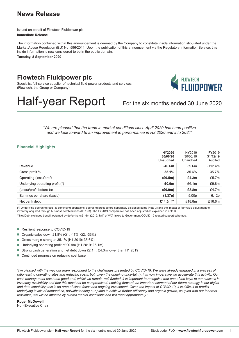## **News Release**

Issued on behalf of Flowtech Fluidpower plc **Immediate Release**

The information contained within this announcement is deemed by the Company to constitute inside information stipulated under the Market Abuse Regulation (EU) No. 596/2014. Upon the publication of this announcement via the Regulatory Information Service, this inside information is now considered to be in the public domain.

**Tuesday, 8 September 2020**

## **Flowtech Fluidpower plc**

Specialist full-service supplier of technical fluid power products and services (Flowtech, the Group or Company)



# Half-year Report For the six months ended 30 June 2020

*"We are pleased that the trend in market conditions since April 2020 has been positive and we look forward to an improvement in performance in H2 2020 and into 2021"*

#### **Financial Highlights**

|                                 | HY2020<br>30/06/20<br><b>Unaudited</b> | HY2019<br>30/06/19<br>Unaudited | FY2019<br>31/12/19<br>Audited |
|---------------------------------|----------------------------------------|---------------------------------|-------------------------------|
| Revenue                         | £46.6m                                 | £59.6m                          | £112.4 $m$                    |
| Gross profit %                  | 35.1%                                  | 35.6%                           | 35.7%                         |
| Operating (loss)/profit         | (E0.5m)                                | £4.3m                           | £5.7 $m$                      |
| Underlying operating profit (*) | £0.9 <sub>m</sub>                      | £6.1m                           | £9.8m                         |
| (Loss)/profit before tax        | (E0.9m)                                | £3.8m                           | £4.7m                         |
| Earnings per share (basic)      | (1.37p)                                | 5.00 <sub>p</sub>               | 6.12p                         |
| Net bank debt                   | £14.5 $m^{**}$                         | £18.8m                          | £16.6m                        |

(\*) Underlying operating result is continuing operations' operating profit before separately disclosed items (note 3) and the impact of fair value adjustment to inventory acquired through business combinations (IFRS 3). The FY2019 comparative has been adjusted as explained in note 3.

\*\*Net Debt excludes benefit obtained by deferring c.£1.6m (2019: £nil) of VAT linked to Government COVID-19 related support schemes.

- Resilient response to COVID-19
- Organic sales down 21.8% (Q1: -11%, Q2: -33%)
- Gross margin strong at 35.1% (H1 2019: 35.6%)
- Underlying operating profit of £0.9m (H1 2019: £6.1m)
- Strong cash generation and net debt down £2.1m, £4.3m lower than H1 2019
- Continued progress on reducing cost base

*"I'm pleased with the way our team responded to the challenges presented by COVID-19. We were already engaged in a process of rationalising operating sites and reducing costs, but, given the ongoing uncertainty, it is now imperative we accelerate this activity. Our cash management has been good and, whilst we remain well funded, it is important to recognise that one of the keys to our success is inventory availability and that this must not be compromised. Looking forward, an important element of our future strategy is our digital and data capability; this is an area of close focus and ongoing investment. Given the impact of COVID-19, it is difficult to predict underlying levels of demand so, notwithstanding our plans to achieve further efficiency and organic growth, coupled with our inherent*  resilience, we will be affected by overall market conditions and will react appropriately.

**Roger McDowell** Non-Executive Chair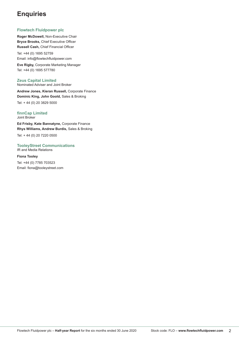## **Enquiries**

#### **Flowtech Fluidpower plc**

**Roger McDowell,** Non-Executive Chair **Bryce Brooks,** Chief Executive Officer **Russell Cash,** Chief Financial Officer

Tel: +44 (0) 1695 52759 Email: info@flowtechfluidpower.com

**Eve Rigby,** Corporate Marketing Manager Tel: +44 (0) 1695 577780

#### **Zeus Capital Limited**

Nominated Adviser and Joint Broker

**Andrew Jones, Kieran Russell,** Corporate Finance **Dominic King, John Goold,** Sales & Broking

Tel: + 44 (0) 20 3829 5000

#### **finnCap Limited** Joint Broker

**Ed Frisby, Kate Bannatyne,** Corporate Finance **Rhys Williams, Andrew Burdis,** Sales & Broking

Tel: + 44 (0) 20 7220 0500

#### **TooleyStreet Communications**  IR and Media Relations

**Fiona Tooley**

Tel: +44 (0) 7785 703523 Email: fiona@tooleystreet.com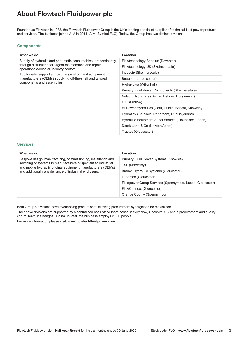## **About Flowtech Fluidpower plc**

Founded as Flowtech in 1983, the Flowtech Fluidpower Group is the UK's leading specialist supplier of technical fluid power products and services. The business joined AIM in 2014 (AIM: Symbol FLO). Today, the Group has two distinct divisions:

#### **Components**

| What we do                                                                                        | Location                                              |
|---------------------------------------------------------------------------------------------------|-------------------------------------------------------|
| Supply of hydraulic and pneumatic consumables, predominantly                                      | Flowtechnology Benelux (Deventer)                     |
| through distribution for urgent maintenance and repair<br>operations across all industry sectors. | Flowtechnology UK (Skelmersdale)                      |
| Additionally, support a broad range of original equipment                                         | Indequip (Skelmersdale)                               |
| manufacturers (OEMs) supplying off-the-shelf and tailored                                         | Beaumanor (Leicester)                                 |
| components and assemblies.                                                                        | Hydravalve (Willenhall)                               |
|                                                                                                   | Primary Fluid Power Components (Skelmersdale)         |
|                                                                                                   | Nelson Hydraulics (Dublin, Lisburn, Dungannon)        |
|                                                                                                   | HTL (Ludlow)                                          |
|                                                                                                   | Hi-Power Hydraulics (Cork, Dublin, Belfast, Knowsley) |
|                                                                                                   | Hydroflex (Brussels, Rotterdam, OudBeijerland)        |
|                                                                                                   | Hydraulic Equipment Supermarkets (Gloucester, Leeds)  |
|                                                                                                   | Derek Lane & Co (Newton Abbot)                        |
|                                                                                                   | Tractec (Gloucester)                                  |

#### **Services**

| What we do                                                                                                                      | Location                                                  |
|---------------------------------------------------------------------------------------------------------------------------------|-----------------------------------------------------------|
| Bespoke design, manufacturing, commissioning, installation and                                                                  | Primary Fluid Power Systems (Knowsley)                    |
| servicing of systems to manufacturers of specialised industrial<br>and mobile hydraulic original equipment manufacturers (OEMs) | TSL (Knowsley)                                            |
| and additionally a wide range of industrial end users.                                                                          | Branch Hydraulic Systems (Gloucester)                     |
|                                                                                                                                 | Lubemec (Gloucester)                                      |
|                                                                                                                                 | Fluidpower Group Services (Spennymoor, Leeds, Gloucester) |
|                                                                                                                                 | FlowConnect (Gloucester)                                  |
|                                                                                                                                 | Orange County (Spennymoor)                                |

Both Group's divisions have overlapping product sets, allowing procurement synergies to be maximised.

The above divisions are supported by a centralised back office team based in Wilmslow, Cheshire, UK and a procurement and quality control team in Shanghai, China. In total, the business employs c.600 people.

For more information please visit, **www.flowtechfluidpower.com**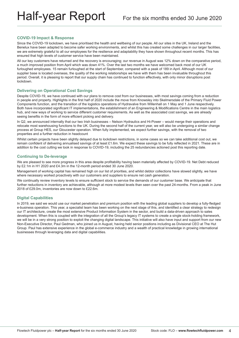#### **COVID-19 Impact & Response**

Since the COVID-19 lockdown, we have prioritised the health and wellbeing of our people. All our sites in the UK, Ireland and the Benelux have been adapted to become safer working environments, and whilst this has created some challenges in our larger facilities, we are extremely grateful to all our employees for the resilience and adaptability they have shown throughout recent months. This has ensured that high levels of customer service have been maintained.

All our key customers have returned and the recovery is encouraging; our revenue in August was 12% down on the comparative period, a much improved position from April which was down 41%. Over the last two months we have welcomed back most of our UK furloughed employees. 15 remain furloughed at the start of September, compared with a peak of 189 in April. Although most of our supplier base is located overseas, the quality of the working relationships we have with them has been invaluable throughout this period. Overall, it is pleasing to report that our supply chain has continued to function effectively, with only minor disruptions post lockdown.

#### **Delivering on Operational Cost Savings**

Despite COVID-19, we have continued with our plans to remove cost from our businesses, with most savings coming from a reduction in people and property. Highlights in the first half of 2020 include the move from Knowsley into Skelmersdale of the Primary Fluid Power Components function, and the transition of the logistics operations of Hydravalve from Willenhall on 1 May and 1 June respectively. Both have incorporated significant IT implementations, the establishment of an Engineering & Modifications Centre in the main logistics hub, and new ways of working to service different customer requirements. As well as the associated cost savings, we are already seeing benefits in the form of more efficient picking and delivery.

In Q2, we announced internally that our two Irish businesses – Nelson Hydraulics and Hi-Power – would merge their operations and relocate most warehousing functions to the UK. During the second half of the current year, we will also be undergoing a similar change process at Group HES, our Gloucester operation. When fully implemented, we expect further savings, with the removal of two properties and a further reduction in headcount

Whilst certain projects have been slightly delayed due to lockdown restrictions, in some cases so we can take additional cost out, we remain confident of delivering annualised savings of at least £1.6m. We expect these savings to be fully reflected in 2021. These are in addition to the cost cutting we took in response to COVID-19, including the 25 redundancies actioned post this reporting date.

#### **Continuing to De-leverage**

We are pleased to see more progress in this area despite profitability having been materially affected by COVID-19. Net Debt reduced by £2.1m in H1 2020 and £4.3m in the 12-month period ended 30 June 2020.

Management of working capital has remained high on our list of priorities, and whilst debtor collections have slowed slightly, we have where necessary worked proactively with our customers and suppliers to ensure net cash generation.

We continually review inventory levels to ensure sufficient stock to service the demands of our customer base. We anticipate that further reductions in inventory are achievable, although at more modest levels than seen over the past 24-months. From a peak in June 2018 of £29.0m, inventories are now down to £22.6m.

#### **Digital Capabilities**

In 2019, we said we would use our market penetration and premium position with the leading global suppliers to develop a fully-fledged e-business operation. This year, a specialist team has been working on the next stage of this, and identified a clear strategy to redesign our IT architecture, create the most extensive Product Information System in the sector, and build a data-driven approach to sales development. When this is coupled with the integration of all the Group's legacy IT systems to create a single stock-holding framework, we will be in a very strong position to exploit the changing digital landscape. This initiative will also have input and support from our new Non-Executive Director, Paul Gedman, who joined us in August, having held senior positions including as Divisional CEO at The Hut Group. Paul has extensive experience in the global e-commerce industry and a wealth of practical knowledge in growing international businesses through leveraging data and digital capabilities.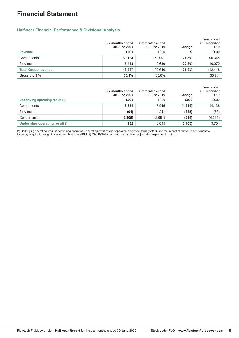## **Financial Statement**

#### **Half-year Financial Performance & Divisional Analysis**

|                            | Six months ended<br>30 June 2020 | Six months ended<br>30 June 2019 | Change   | Year ended<br>31 December<br>2019 |
|----------------------------|----------------------------------|----------------------------------|----------|-----------------------------------|
| <b>Revenue</b>             | £000                             | £000                             | %        | £000                              |
| Components                 | 39,124                           | 50,001                           | $-21.8%$ | 96,348                            |
| Services                   | 7.443                            | 9,639                            | $-22.8%$ | 16,070                            |
| <b>Total Group revenue</b> | 46,567                           | 59,640                           | $-21.9%$ | 112.418                           |
| Gross profit %             | 35.1%                            | 35.6%                            |          | 35.7%                             |

|                                 | Six months ended<br>30 June 2020 | Six months ended<br>30 June 2019 | Change   | Year ended<br>31 December<br>2019 |
|---------------------------------|----------------------------------|----------------------------------|----------|-----------------------------------|
| Underlying operating result (*) | £000                             | £000                             | £000     | £000                              |
| Components                      | 3,331                            | 7,945                            | (4,614)  | 14,138                            |
| Services                        | (94)                             | 241                              | (335)    | (53)                              |
| Central costs                   | (2, 305)                         | (2,091)                          | (214)    | (4, 331)                          |
| Underlying operating result (*) | 932                              | 6,095                            | (5, 163) | 9,754                             |

(\*) Underlying operating result is continuing operations' operating profit before separately disclosed items (note 3) and the impact of fair value adjustment to inventory acquired through business combinations (IFRS 3). The FY2019 comparative has been adjusted as explained in note 3.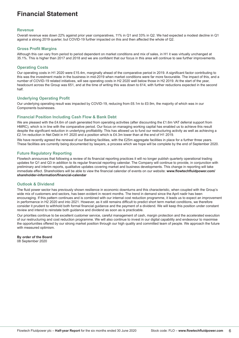## **Financial Statement**

#### **Revenue**

Overall revenue was down 22% against prior year comparatives, 11% in Q1 and 33% in Q2. We had expected a modest decline in Q1 against a strong 2019 quarter, but COVID-19 further impacted on this and then affected the whole of Q2.

#### **Gross Profit Margins**

Although this can vary from period to period dependent on market conditions and mix of sales, in H1 it was virtually unchanged at 35.1%. This is higher than 2017 and 2018 and we are confident that our focus in this area will continue to see further improvements.

#### **Operating Costs**

Our operating costs in H1 2020 were £15.4m, marginally ahead of the comparative period in 2019. A significant factor contributing to this was the investment made in the business in mid-2019 when market conditions were far more favourable. The impact of this, and a number of COVID-19 related initiatives, will see operating costs in H2 2020 well below those in H2 2019. At the start of the year, headcount across the Group was 651, and at the time of writing this was down to 614, with further reductions expected in the second half.

#### **Underlying Operating Profit**

Our underlying operating result was impacted by COVID-19, reducing from £6.1m to £0.9m, the majority of which was in our Components businesses.

#### **Financial Position Including Cash Flow & Bank Debt**

We are pleased with the £4.6m of cash generated from operating activities (after discounting the £1.6m VAT deferral support from HMRC), which is in line with the comparative period. Our focus on managing working capital has enabled us to achieve this result despite the significant reduction in underlying profitability. This has allowed us to fund our restructuring activity as well as achieving a £2.1m reduction in Net Debt in H1 2020 and a position which is £4.3m lower than at the end of H1 2019.

We have recently agreed the renewal of our Banking facilities, with the £25m aggregate facilities in place for a further three years. These facilities are currently being documented by lawyers, a process which we hope will be complete by the end of September 2020.

#### **Future Regulatory Reporting**

Flowtech announces that following a review of its financial reporting practices it will no longer publish quarterly operational trading updates for Q1 and Q3 in addition to its regular financial reporting calendar. The Company will continue to provide, in conjunction with preliminary and interim reports, qualitative updates covering market and business developments. This change in reporting will take immediate effect. Shareholders will be able to view the financial calendar of events on our website: **www.flowtechfluidpower.com/ shareholder-information/financial-calendar**

#### **Outlook & Dividend**

The fluid power sector has previously shown resilience in economic downturns and this characteristic, when coupled with the Group's wide mix of customers and sectors, has been evident in recent months. The trend in demand since the April nadir has been encouraging. If this pattern continues and is combined with our internal cost reduction programme, it leads us to expect an improvement in performance in H2 2020 and into 2021. However, as it still remains difficult to predict short term market conditions, we therefore consider it prudent to withhold both formal financial guidance and the payment of a dividend. We will keep this position under constant review and intend to reinstate both guidance and dividend as soon as is practicable.

Our priorities continue to be excellent customer service, careful management of cash, margin protection and the accelerated execution of our restructuring and cost reduction programme. We will also continue to invest in our digital capability and endeavour to maximise the opportunities offered by our strong market position through our high quality and committed team of people. We approach the future with measured optimism.

**By order of the Board** 08 September 2020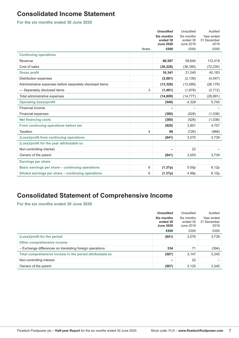## **Consolidated Income Statement**

**For the six months ended 30 June 2020**

|                                                            |              | <b>Unaudited</b>       | Unaudited              | Audited                   |
|------------------------------------------------------------|--------------|------------------------|------------------------|---------------------------|
|                                                            |              | Six months<br>ended 30 | Six months<br>ended 30 | Year ended<br>31 December |
|                                                            |              | <b>June 2020</b>       | June 2019              | 2019                      |
|                                                            | <b>Notes</b> | £000                   | £000                   | £000                      |
| <b>Continuing operations</b>                               |              |                        |                        |                           |
| Revenue                                                    |              | 46,567                 | 59.640                 | 112,418                   |
| Cost of sales                                              |              | (30, 226)              | (38, 395)              | (72, 235)                 |
| <b>Gross profit</b>                                        |              | 16,341                 | 21,245                 | 40,183                    |
| Distribution expenses                                      |              | (2,081)                | (2, 139)               | (4, 547)                  |
| Administrative expenses before separately disclosed items: |              | (13, 328)              | (13,099)               | (26, 179)                 |
| - Separately disclosed items                               | 3            | (1,481)                | (1,678)                | (3,712)                   |
| Total administrative expenses                              |              | (14, 809)              | (14, 777)              | (29, 891)                 |
| <b>Operating (loss)/profit</b>                             |              | (549)                  | 4,329                  | 5,745                     |
| Financial income                                           |              | ۰                      |                        |                           |
| <b>Financial expenses</b>                                  |              | (380)                  | (528)                  | (1,038)                   |
| <b>Net financing costs</b>                                 |              | (380)                  | (528)                  | (1,038)                   |
| From continuing operations before tax                      |              | (929)                  | 3,801                  | 4,707                     |
| Taxation                                                   | 4            | 88                     | (726)                  | (968)                     |
| (Loss)/profit from continuing operations                   |              | (841)                  | 3,075                  | 3,739                     |
| (Loss)/profit for the year attributable to:                |              |                        |                        |                           |
| Non-controlling interest                                   |              | -                      | 22                     |                           |
| Owners of the parent                                       |              | (841)                  | 3,053                  | 3,739                     |
| <b>Earnings per share</b>                                  |              |                        |                        |                           |
| Basic earnings per share - continuing operations           | 6            | (1.37p)                | 5.00 <sub>p</sub>      | 6.12p                     |
| Diluted earnings per share - continuing operations         | 6            | (1.37p)                | 4.99p                  | 6.10p                     |

## **Consolidated Statement of Comprehensive Income**

**For the six months ended 30 June 2020**

|                                                           | <b>Unaudited</b>                           | Unaudited                           | Audited                           |
|-----------------------------------------------------------|--------------------------------------------|-------------------------------------|-----------------------------------|
|                                                           | Six months<br>ended 30<br><b>June 2020</b> | Six months<br>ended 30<br>June 2019 | Year ended<br>31 December<br>2019 |
|                                                           | £000                                       | £000                                | £000                              |
| (Loss)/profit for the period                              | (841)                                      | 3.076                               | 3,739                             |
| Other comprehensive income                                |                                            |                                     |                                   |
| - Exchange differences on translating foreign operations  | 334                                        | 71                                  | (394)                             |
| Total comprehensive income in the period attributable to: | (507)                                      | 3.147                               | 3,345                             |
| Non-controlling interest                                  | -                                          | 22                                  |                                   |
| Owners of the parent                                      | (507)                                      | 3,125                               | 3,345                             |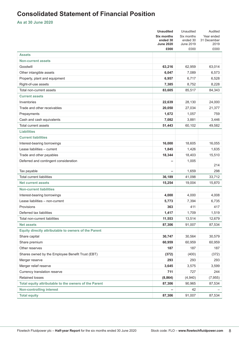## **Consolidated Statement of Financial Position**

**As at 30 June 2020**

|                                                       | <b>Unaudited</b>              | Unaudited              | Audited                   |
|-------------------------------------------------------|-------------------------------|------------------------|---------------------------|
|                                                       | <b>Six months</b><br>ended 30 | Six months<br>ended 30 | Year ended<br>31 December |
|                                                       | <b>June 2020</b>              | June 2019              | 2019                      |
|                                                       | £000                          | £000                   | £000                      |
| <b>Assets</b>                                         |                               |                        |                           |
| <b>Non-current assets</b>                             |                               |                        |                           |
| Goodwill                                              | 63,216                        | 62,959                 | 63,014                    |
| Other intangible assets                               | 6,047                         | 7,089                  | 6,573                     |
| Property, plant and equipment                         | 6,957                         | 6,717                  | 6,528                     |
| Right-of-use assets                                   | 7,385                         | 8,752                  | 8,228                     |
| Total non-current assets                              | 83,605                        | 85,517                 | 84,343                    |
| <b>Current assets</b>                                 |                               |                        |                           |
| Inventories                                           | 22,639                        | 28,130                 | 24,000                    |
| Trade and other receivables                           | 20,050                        | 27,034                 | 21,377                    |
| Prepayments                                           | 1,672                         | 1,057                  | 759                       |
| Cash and cash equivalents                             | 7,082                         | 3,881                  | 3,446                     |
| <b>Total current assets</b>                           | 51,443                        | 60,102                 | 49,582                    |
| <b>Liabilities</b>                                    |                               |                        |                           |
| <b>Current liabilities</b>                            |                               |                        |                           |
| Interest-bearing borrowings                           | 16,000                        | 18,605                 | 16,055                    |
| Lease liabilities - current                           | 1,845                         | 1,426                  | 1,635                     |
| Trade and other payables                              | 18,344                        | 18,403                 | 15,510                    |
| Deferred and contingent consideration                 |                               | 1,005                  |                           |
|                                                       |                               |                        | 214                       |
| Tax payable                                           | $\overline{a}$                | 1,659                  | 298                       |
| <b>Total current liabilities</b>                      | 36,189                        | 41,098                 | 33,712                    |
| <b>Net current assets</b>                             | 15,254                        | 19,004                 | 15,870                    |
| <b>Non-current liabilities</b>                        |                               |                        |                           |
| Interest-bearing borrowings                           | 4,000                         | 4,000                  | 4,008                     |
| Lease liabilities - non-current                       | 5,773                         | 7,394                  | 6,735                     |
| Provisions                                            | 363                           | 411                    | 417                       |
| Deferred tax liabilities                              | 1,417                         | 1,709                  | 1,519                     |
| Total non-current liabilities                         | 11,553                        | 13,514                 | 12,679                    |
| <b>Net assets</b>                                     | 87,306                        | 91,007                 | 87,534                    |
| Equity directly attributable to owners of the Parent  |                               |                        |                           |
| Share capital                                         | 30,747                        | 30,564                 | 30,579                    |
| Share premium                                         | 60,959                        | 60,959                 | 60,959                    |
| Other reserves                                        | 187                           | 187                    | 187                       |
| Shares owned by the Employee Benefit Trust (EBT)      | (372)                         | (400)                  | (372)                     |
| Merger reserve                                        | 293                           | 293                    | 293                       |
| Merger relief reserve                                 | 3,645                         | 3,575                  | 3,599                     |
| Currency translation reserve                          | 711                           | 727                    | 244                       |
| <b>Retained losses</b>                                | (8, 864)                      | (4,940)                | (7, 955)                  |
| Total equity attributable to the owners of the Parent | 87,306                        | 90,965                 | 87,534                    |
| <b>Non-controlling interest</b>                       |                               | 42                     |                           |
| <b>Total equity</b>                                   | 87,306                        | 91,007                 | 87,534                    |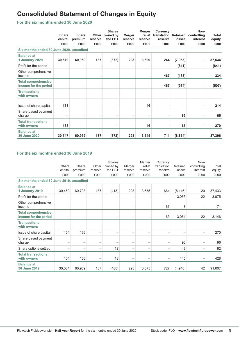## **Consolidated Statement of Changes in Equity**

**For the six months ended 30 June 2020**

|                                                     | <b>Share</b><br>capital<br>£000 | <b>Share</b><br>premium<br>£000 | reserve<br>£000 | <b>Shares</b><br>Other owned by<br>the EBT<br>£000 | <b>Merger</b><br>reserve<br>£000 | Merger<br>relief<br>reserve<br>£000 | Currency<br>translation Retained<br>reserve<br>£000 | losses<br>£000 | Non-<br>controlling<br>interest<br>£000 | Total<br>equity<br>£000 |
|-----------------------------------------------------|---------------------------------|---------------------------------|-----------------|----------------------------------------------------|----------------------------------|-------------------------------------|-----------------------------------------------------|----------------|-----------------------------------------|-------------------------|
| Six months ended 30 June 2020, unaudited            |                                 |                                 |                 |                                                    |                                  |                                     |                                                     |                |                                         |                         |
| <b>Balance at</b><br>1 January 2020                 | 30,579                          | 60,959                          | 187             | (372)                                              | 293                              | 3,599                               | 244                                                 | (7, 955)       |                                         | 87,534                  |
| Profit for the period                               | -                               | -                               | -               | -                                                  | -                                |                                     |                                                     | (841)          | -                                       | (841)                   |
| Other comprehensive<br>income                       | -                               | -                               | -               | -                                                  | -                                | -                                   | 467                                                 | (133)          | -                                       | 334                     |
| <b>Total comprehensive</b><br>income for the period |                                 | -                               | -               | -                                                  | -                                |                                     | 467                                                 | (974)          |                                         | (507)                   |
| <b>Transactions</b><br>with owners                  |                                 |                                 |                 |                                                    |                                  |                                     |                                                     |                |                                         |                         |
| Issue of share capital                              | 168                             |                                 |                 |                                                    |                                  | 46                                  |                                                     |                |                                         | 214                     |
| Share-based payment<br>charge                       | -                               |                                 |                 |                                                    |                                  |                                     |                                                     | 65             |                                         | 65                      |
| <b>Total transactions</b><br>with owners            | 168                             | -                               | -               | ۰                                                  | -                                | 46                                  |                                                     | 65             | -                                       | 279                     |
| <b>Balance at</b><br>30 June 2020                   | 30,747                          | 60,959                          | 187             | (372)                                              | 293                              | 3,645                               | 711                                                 | (8, 864)       |                                         | 87,306                  |

#### **For the six months ended 30 June 2019**

|                                                     | Share<br>capital<br>£000 | Share<br>premium<br>£000 | Other<br>reserve<br>£000 | Shares<br>owned by<br>the EBT<br>£000 | Merger<br>reserve<br>£000 | Merger<br>relief<br>reserve<br>£000 | Currency<br>translation<br>reserve<br>£000 | Retained<br>losses<br>£000 | Non-<br>controlling<br>interest<br>£000 | Total<br>equity<br>£000 |
|-----------------------------------------------------|--------------------------|--------------------------|--------------------------|---------------------------------------|---------------------------|-------------------------------------|--------------------------------------------|----------------------------|-----------------------------------------|-------------------------|
| Six months ended 30 June 2019, unaudited            |                          |                          |                          |                                       |                           |                                     |                                            |                            |                                         |                         |
| <b>Balance at</b><br>1 January 2019                 | 30,460                   | 60,793                   | 187                      | (413)                                 | 293                       | 3,575                               | 664                                        | (8, 146)                   | 20                                      | 87,433                  |
| Profit for the period                               | -                        | -                        | $\overline{\phantom{0}}$ |                                       | $\overline{\phantom{0}}$  | -                                   |                                            | 3,053                      | 22                                      | 3,075                   |
| Other comprehensive<br>income                       | -                        | $\qquad \qquad -$        | —                        | $\overline{\phantom{0}}$              | -                         | -                                   | 63                                         | 8                          | $\qquad \qquad -$                       | 71                      |
| <b>Total comprehensive</b><br>income for the period |                          | -                        | -                        | -                                     | —                         | -                                   | 63                                         | 3,061                      | 22                                      | 3,146                   |
| <b>Transactions</b><br>with owners                  |                          |                          |                          |                                       |                           |                                     |                                            |                            |                                         |                         |
| Issue of share capital                              | 104                      | 166                      | -                        | -                                     | -                         |                                     |                                            |                            |                                         | 270                     |
| Share-based payment<br>charge                       | -                        | $\qquad \qquad -$        | -                        | -                                     | -                         | -                                   |                                            | 96                         |                                         | 96                      |
| Share options settled                               | -                        | -                        | -                        | 13                                    | -                         | -                                   |                                            | 49                         | -                                       | 62                      |
| <b>Total transactions</b><br>with owners            | 104                      | 166                      | -                        | 13                                    | -                         | -                                   |                                            | 145                        |                                         | 428                     |
| <b>Balance at</b><br>30 June 2019                   | 30,564                   | 60,959                   | 187                      | (400)                                 | 293                       | 3,575                               | 727                                        | (4,940)                    | 42                                      | 91,007                  |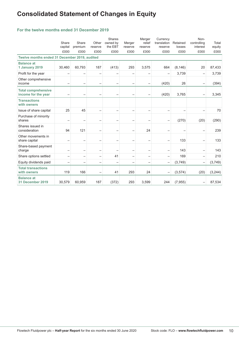## **Consolidated Statement of Changes in Equity**

#### **For the twelve months ended 31 December 2019**

|                                                   | Share<br>capital<br>£000 | Share<br>premium<br>£000 | Other<br>reserve<br>£000 | Shares<br>owned by<br>the EBT<br>£000 | Merger<br>reserve<br>£000 | Merger<br>relief<br>reserve<br>£000 | Currency<br>translation<br>reserve<br>£000 | Retained<br>losses<br>£000 | Non-<br>controlling<br>interest<br>£000 | Total<br>equity<br>£000 |
|---------------------------------------------------|--------------------------|--------------------------|--------------------------|---------------------------------------|---------------------------|-------------------------------------|--------------------------------------------|----------------------------|-----------------------------------------|-------------------------|
| Twelve months ended 31 December 2019, audited     |                          |                          |                          |                                       |                           |                                     |                                            |                            |                                         |                         |
| <b>Balance at</b><br>1 January 2019               | 30,460                   | 60,793                   | 187                      | (413)                                 | 293                       | 3,575                               | 664                                        | (8, 146)                   | 20                                      | 87,433                  |
| Profit for the year                               | $\overline{\phantom{0}}$ | -                        | $\overline{\phantom{0}}$ |                                       | $\overline{\phantom{0}}$  | -                                   |                                            | 3,739                      | -                                       | 3,739                   |
| Other comprehensive<br>income                     | -                        | -                        |                          | -                                     | $\overline{\phantom{0}}$  | —                                   | (420)                                      | 26                         | -                                       | (394)                   |
| <b>Total comprehensive</b><br>income for the year | -                        | -                        | $\overline{\phantom{0}}$ |                                       | $\qquad \qquad -$         | -                                   | (420)                                      | 3,765                      | $\overline{\phantom{0}}$                | 3,345                   |
| <b>Transactions</b><br>with owners                |                          |                          |                          |                                       |                           |                                     |                                            |                            |                                         |                         |
| Issue of share capital                            | 25                       | 45                       | $\qquad \qquad -$        | $\overline{\phantom{0}}$              | $\overline{\phantom{0}}$  | $\overline{\phantom{0}}$            |                                            |                            | $\overline{\phantom{0}}$                | 70                      |
| Purchase of minority<br>shares                    | -                        | $\overline{\phantom{0}}$ | $\overline{\phantom{0}}$ | ۳                                     | $\overline{\phantom{0}}$  |                                     |                                            | (270)                      | (20)                                    | (290)                   |
| Shares issued in<br>consideration                 | 94                       | 121                      | $\qquad \qquad -$        | $\overline{\phantom{0}}$              | $\qquad \qquad -$         | 24                                  |                                            |                            |                                         | 239                     |
| Other movements in<br>share capital               | -                        | $\overline{\phantom{0}}$ |                          | $\overline{\phantom{0}}$              | $\overline{\phantom{0}}$  |                                     |                                            | 133                        | -                                       | 133                     |
| Share-based payment<br>charge                     | $\overline{\phantom{m}}$ | $\overline{\phantom{0}}$ | $\qquad \qquad -$        | $\overline{\phantom{0}}$              | $\qquad \qquad -$         | $\overline{\phantom{0}}$            | $\overline{\phantom{0}}$                   | 143                        | $\overline{\phantom{0}}$                | 143                     |
| Share options settled                             | -                        | $\overline{\phantom{0}}$ | $\qquad \qquad -$        | 41                                    | $\qquad \qquad -$         | $\qquad \qquad -$                   | $\overline{\phantom{0}}$                   | 169                        | $\qquad \qquad -$                       | 210                     |
| Equity dividends paid                             | -                        | $\overline{\phantom{0}}$ | $\qquad \qquad -$        | $\overline{\phantom{0}}$              | $\qquad \qquad -$         | $\qquad \qquad -$                   | -                                          | (3,749)                    | $\overline{\phantom{m}}$                | (3,749)                 |
| <b>Total transactions</b><br>with owners          | 119                      | 166                      | $\overline{\phantom{0}}$ | 41                                    | 293                       | 24                                  |                                            | (3, 574)                   | (20)                                    | (3, 244)                |
| <b>Balance at</b><br>31 December 2019             | 30,579                   | 60,959                   | 187                      | (372)                                 | 293                       | 3,599                               | 244                                        | (7, 955)                   |                                         | 87,534                  |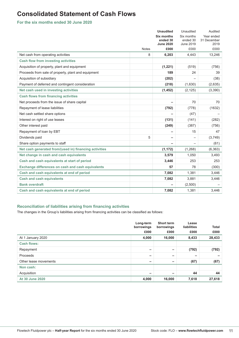## **Consolidated Statement of Cash Flows**

**For the six months ended 30 June 2020**

|                                                          |              | <b>Unaudited</b>       | Unaudited                | Audited                   |
|----------------------------------------------------------|--------------|------------------------|--------------------------|---------------------------|
|                                                          |              | Six months<br>ended 30 | Six months<br>ended 30   | Year ended<br>31 December |
|                                                          |              | <b>June 2020</b>       | June 2019                | 2019                      |
|                                                          | <b>Notes</b> | £000                   | £000                     | £000                      |
| Net cash from operating activities                       | 8            | 6.203                  | 4,443                    | 13,246                    |
| <b>Cash flow from investing activities</b>               |              |                        |                          |                           |
| Acquisition of property, plant and equipment             |              | (1, 221)               | (519)                    | (756)                     |
| Proceeds from sale of property, plant and equipment      |              | 189                    | 24                       | 39                        |
| Acquisition of subsidiary                                |              | (202)                  |                          | (38)                      |
| Payment of deferred and contingent consideration         |              | (218)                  | (1,630)                  | (2,635)                   |
| Net cash used in investing activities                    |              | (1, 452)               | (2, 125)                 | (3,390)                   |
| <b>Cash flows from financing activities</b>              |              |                        |                          |                           |
| Net proceeds from the issue of share capital             |              | ۰                      | 70                       | 70                        |
| Repayment of lease liabilities                           |              | (792)                  | (778)                    | (1632)                    |
| Net cash settled share options                           |              | ۰                      | (47)                     |                           |
| Interest on right of use leases                          |              | (131)                  | (141)                    | (282)                     |
| Other interest paid                                      |              | (249)                  | (387)                    | (756)                     |
| Repayment of loan by EBT                                 |              | -                      | 15                       | 47                        |
| Dividends paid                                           | 5            | ۰                      | $\overline{\phantom{0}}$ | (3,749)                   |
| Share option payments to staff                           |              |                        |                          | (61)                      |
| Net cash generated from/(used in) financing activities   |              | (1, 172)               | (1, 268)                 | (6, 363)                  |
| Net change in cash and cash equivalents                  |              | 3,579                  | 1,050                    | 3,493                     |
| Cash and cash equivalents at start of period             |              | 3,446                  | 253                      | 253                       |
| <b>Exchange differences on cash and cash equivalents</b> |              | 57                     | 78                       | (300)                     |
| Cash and cash equivalents at end of period               |              | 7,082                  | 1,381                    | 3,446                     |
| <b>Cash and cash equivalents</b>                         |              | 7,082                  | 3,881                    | 3,446                     |
| <b>Bank overdraft</b>                                    |              | ۰                      | (2,500)                  |                           |
| Cash and cash equivalents at end of period               |              | 7,082                  | 1,381                    | 3,446                     |

#### **Reconciliation of liabilities arising from financing activities**

The changes in the Group's liabilities arising from financing activities can be classified as follows:

|                        | Long-term<br>borrowings  | <b>Short term</b><br>borrowings | Lease<br>liabilities | <b>Total</b> |
|------------------------|--------------------------|---------------------------------|----------------------|--------------|
|                        | £000                     | £000                            | £000                 | £000         |
| At 1 January 2020      | 4,000                    | 16,000                          | 8,433                | 28,433       |
| <b>Cash flows:</b>     |                          |                                 |                      |              |
| Repayment              | -                        | -                               | (792)                | (792)        |
| Proceeds               | $\overline{\phantom{0}}$ | -                               |                      |              |
| Other lease movements  | -                        | -                               | (67)                 | (67)         |
| Non cash:              |                          |                                 |                      |              |
| Acquisition            | -                        | -                               | 44                   | 44           |
| <b>At 30 June 2020</b> | 4,000                    | 16,000                          | 7,618                | 27,618       |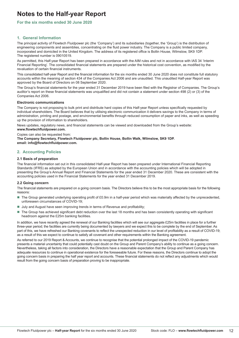#### **For the six months ended 30 June 2020**

#### **1. General Information**

The principal activity of Flowtech Fluidpower plc (the 'Company') and its subsidiaries (together, the 'Group') is the distribution of engineering components and assemblies, concentrating on the fluid power industry. The Company is a public limited company, incorporated and domiciled in the United Kingdom. The address of its registered office is Bollin House, Wilmslow, SK9 1DP. The registered number is 09010519.

As permitted, this Half-year Report has been prepared in accordance with the AIM rules and not in accordance with IAS 34 'Interim Financial Reporting'. The consolidated financial statements are prepared under the historical cost convention, as modified by the revaluation of certain financial instruments.

This consolidated half-year Report and the financial information for the six months ended 30 June 2020 does not constitute full statutory accounts within the meaning of section 434 of the Companies Act 2006 and are unaudited. This unaudited Half-year Report was approved by the Board of Directors on 08 September 2020.

The Group's financial statements for the year ended 31 December 2019 have been filed with the Registrar of Companies. The Group's auditor's report on these financial statements was unqualified and did not contain a statement under section 498 (2) or (3) of the Companies Act 2006.

#### **Electronic communications**

The Company is not proposing to bulk print and distribute hard copies of this Half-year Report unless specifically requested by individual shareholders. The Board believes that by utilising electronic communication it delivers savings to the Company in terms of administration, printing and postage, and environmental benefits through reduced consumption of paper and inks, as well as speeding up the provision of information to shareholders.

News updates, regulatory news, and financial statements can be viewed and downloaded from the Group's website: **www.flowtechfluidpower.com.** 

Copies can also be requested from:

**The Company Secretary, Flowtech Fluidpower plc, Bollin House, Bollin Walk, Wilmslow, SK9 1DP. email: info@flowtechfluidpower.com.**

#### **2. Accounting Policies**

#### **2.1 Basis of preparation**

The financial information set out in this consolidated Half-year Report has been prepared under International Financial Reporting Standards (IFRS) as adopted by the European Union and in accordance with the accounting policies which will be adopted in presenting the Group's Annual Report and Financial Statements for the year ended 31 December 2020. These are consistent with the accounting policies used in the Financial Statements for the year ended 31 December 2019.

#### **2.2 Going concern**

The financial statements are prepared on a going concern basis. The Directors believe this to be the most appropriate basis for the following reasons:

- The Group generated underlying operating profit of £0.9m in a half-year period which was materially affected by the unprecedented, unforeseen circumstances of COVID-19;
- July and August have seen improving trends in terms of Revenue and profitability;
- The Group has achieved significant debt reduction over the last 18 months and has been consistently operating with significant headroom against the £25m banking facilities.

In addition, we have recently agreed the renewal of our Banking facilities which will see our aggregate £25m facilities in place for a further three-year period; the facilities are currently being documented by lawyers and we expect this to be complete by the end of September. As part of this, we have refreshed our Banking covenants to reflect the unexpected reduction in our level of profitability as a result of COVID-19; as a result of this we expect to continue to satisfy all covenant and other requirements within the Banking agreement.

As referred to our 2019 Report & Accounts, we continue to recognise that the potential prolonged impact of the COVID-19 pandemic presents a material uncertainty that could potentially cast doubt on the Group and Parent Company's ability to continue as a going concern. Nevertheless, taking all factors into consideration, the Directors have a reasonable expectation that the Group and Parent Company has adequate resources to continue in operational existence for the foreseeable future. For these reasons, the Directors continue to adopt the going concern basis in preparing the half year report and accounts. These financial statements do not reflect any adjustments which would result from the going concern basis of preparation proving to be inappropriate.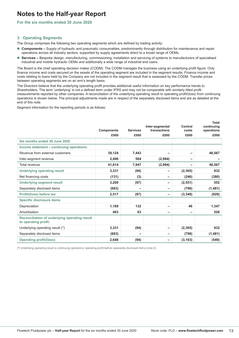#### **For the six months ended 30 June 2020**

#### **3. Operating Segments**

The Group comprises the following two operating segments which are defined by trading activity:

- **Components** Supply of hydraulic and pneumatic consumables, predominantly through distribution for maintenance and repair operations across all industry sectors, supported by supply agreements direct to a broad range of OEMs.
- **Services –** Bespoke design, manufacturing, commissioning, installation and servicing of systems to manufacturers of specialised industrial and mobile hydraulic OEMs and additionally a wide range of industrial end users.

The Board is the chief operating decision maker (CODM). The CODM manages the business using an underlying profit figure. Only finance income and costs secured on the assets of the operating segment are included in the segment results. Finance income and costs relating to loans held by the Company are not included in the segment result that is assessed by the CODM. Transfer prices between operating segments are on an arm's length basis.

The Directors believe that the underlying operating profit provides additional useful information on key performance trends to Shareholders. The term 'underlying' is not a defined term under IFRS and may not be comparable with similarly titled profit measurements reported by other companies. A reconciliation of the underlying operating result to operating profit/(loss) from continuing operations is shown below. The principal adjustments made are in respect of the separately disclosed items and are as detailed at the end of this note.

Segment information for the reporting periods is as follows:

|                                                                       |                   |                 | Inter-segmental | Central  | <b>Total</b><br>continuing |
|-----------------------------------------------------------------------|-------------------|-----------------|-----------------|----------|----------------------------|
|                                                                       | <b>Components</b> | <b>Services</b> | transactions    | costs    | operations                 |
|                                                                       | £000              | £000            | £000            | £000     | £000                       |
| Six months ended 30 June 2020                                         |                   |                 |                 |          |                            |
| Income statement - continuing operations:                             |                   |                 |                 |          |                            |
| Revenue from external customers                                       | 39,124            | 7,443           | -               |          | 46,567                     |
| Inter-segment revenue                                                 | 2,490             | 504             | (2,994)         | -        |                            |
| Total revenue                                                         | 41,614            | 7,947           | (2,994)         | -        | 46,567                     |
| <b>Underlying operating result</b>                                    | 3,331             | (94)            | -               | (2,305)  | 932                        |
| Net financing costs                                                   | (131)             | (3)             | -               | (246)    | (380)                      |
| <b>Underlying segment result</b>                                      | 3,200             | (97)            | -               | (2, 551) | 552                        |
| Separately disclosed items                                            | (683)             |                 | -               | (798)    | (1,481)                    |
| Profit/(loss) before tax                                              | 2,517             | (97)            | -               | (3, 349) | (929)                      |
| <b>Specific disclosure items</b>                                      |                   |                 |                 |          |                            |
| Depreciation                                                          | 1,169             | 132             | -               | 46       | 1,347                      |
| Amortisation                                                          | 463               | 63              | -               |          | 526                        |
| Reconciliation of underlying operating result<br>to operating profit: |                   |                 |                 |          |                            |
| Underlying operating result (*)                                       | 3,331             | (94)            | -               | (2,305)  | 932                        |
| Separately disclosed items                                            | (683)             |                 | -               | (798)    | (1,481)                    |
| <b>Operating profit/(loss)</b>                                        | 2,648             | (94)            | -               | (3, 103) | (549)                      |

(\*) Underlying operating result is continuing operations' operating profit before separately disclosed items (note 3).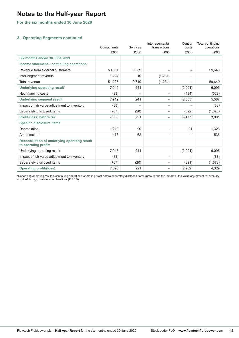**For the six months ended 30 June 2020**

#### **3. Operating Segments continued**

|                                                                       | Components | Services | Inter-segmental<br>transactions | Central<br>costs | Total continuing<br>operations |
|-----------------------------------------------------------------------|------------|----------|---------------------------------|------------------|--------------------------------|
|                                                                       | £000       | £000     | £000                            | £000             | £000                           |
| Six months ended 30 June 2019                                         |            |          |                                 |                  |                                |
| Income statement - continuing operations:                             |            |          |                                 |                  |                                |
| Revenue from external customers                                       | 50,001     | 9,639    | $\qquad \qquad -$               | -                | 59,640                         |
| Inter-segment revenue                                                 | 1,224      | 10       | (1,234)                         | -                |                                |
| Total revenue                                                         | 51,225     | 9,649    | (1, 234)                        | —                | 59,640                         |
| Underlying operating result*                                          | 7,945      | 241      | -                               | (2,091)          | 6,095                          |
| Net financing costs                                                   | (33)       |          | $\qquad \qquad -$               | (494)            | (528)                          |
| <b>Underlying segment result</b>                                      | 7,912      | 241      | $\qquad \qquad -$               | (2, 585)         | 5,567                          |
| Impact of fair value adjustment to inventory                          | (88)       |          | $\overline{\phantom{0}}$        |                  | (88)                           |
| Separately disclosed items                                            | (767)      | (20)     | $\qquad \qquad -$               | (892)            | (1,678)                        |
| Profit/(loss) before tax                                              | 7,058      | 221      | $\overline{\phantom{0}}$        | (3, 477)         | 3,801                          |
| <b>Specific disclosure items</b>                                      |            |          |                                 |                  |                                |
| Depreciation                                                          | 1,212      | 90       | $\qquad \qquad -$               | 21               | 1,323                          |
| Amortisation                                                          | 473        | 62       | -                               |                  | 535                            |
| Reconciliation of underlying operating result<br>to operating profit: |            |          |                                 |                  |                                |
| Underlying operating result*                                          | 7,945      | 241      | $\overline{\phantom{0}}$        | (2,091)          | 6,095                          |
| Impact of fair value adjustment to inventory                          | (88)       |          | $\qquad \qquad -$               |                  | (88)                           |
| Separately disclosed items                                            | (767)      | (20)     | $\qquad \qquad -$               | (891)            | (1,678)                        |
| <b>Operating profit/(loss)</b>                                        | 7,090      | 221      | $\qquad \qquad -$               | (2,982)          | 4,329                          |

\*Underlying operating result is continuing operations' operating profit before separately disclosed items (note 3) and the impact of fair value adjustment to inventory acquired through business combinations (IFRS 3).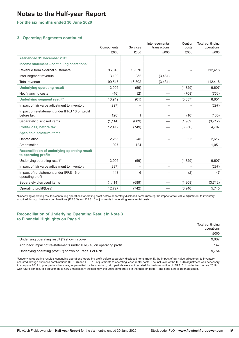**For the six months ended 30 June 2020**

#### **3. Operating Segments continued**

|                                                                       | Components | Services | Inter-segmental<br>transactions | Central<br>costs | Total continuing<br>operations |
|-----------------------------------------------------------------------|------------|----------|---------------------------------|------------------|--------------------------------|
|                                                                       | £000       | £000     | £000                            | £000             | £000                           |
| Year ended 31 December 2019                                           |            |          |                                 |                  |                                |
| Income statement - continuing operations:                             |            |          |                                 |                  |                                |
| Revenue from external customers                                       | 96,348     | 16,070   |                                 |                  | 112,418                        |
| Inter-segment revenue                                                 | 3,199      | 232      | (3,431)                         |                  |                                |
| <b>Total revenue</b>                                                  | 99,547     | 16,302   | (3, 431)                        |                  | 112,418                        |
| <b>Underlying operating result</b>                                    | 13,995     | (59)     |                                 | (4,329)          | 9,607                          |
| Net financing costs                                                   | (46)       | (2)      |                                 | (708)            | (756)                          |
| Underlying segment result*                                            | 13,949     | (61)     |                                 | (5,037)          | 8,851                          |
| Impact of fair value adjustment to inventory                          | (297)      |          |                                 |                  | (297)                          |
| Impact of re-statement under IFRS 16 on profit<br>before tax          | (126)      | 1        | $\overline{\phantom{0}}$        | (10)             | (135)                          |
| Separately disclosed items                                            | (1, 114)   | (689)    |                                 | (1,909)          | (3, 712)                       |
| Profit/(loss) before tax                                              | 12,412     | (749)    |                                 | (6,956)          | 4,707                          |
| <b>Specific disclosure items</b>                                      |            |          |                                 |                  |                                |
| Depreciation                                                          | 2,266      | 245      | $\qquad \qquad -$               | 106              | 2,617                          |
| Amortisation                                                          | 927        | 124      |                                 |                  | 1,051                          |
| Reconciliation of underlying operating result<br>to operating profit: |            |          |                                 |                  |                                |
| Underlying operating result*                                          | 13,995     | (59)     |                                 | (4, 329)         | 9,607                          |
| Impact of fair value adjustment to inventory                          | (297)      |          | $\qquad \qquad -$               |                  | (297)                          |
| Impact of re-statement under IFRS 16 on<br>operating profit           | 143        | 6        |                                 | (2)              | 147                            |
| Separately disclosed items                                            | (1, 114)   | (689)    |                                 | (1,909)          | (3,712)                        |
| Operating profit/(loss)                                               | 12,727     | (742)    |                                 | (6, 240)         | 5,745                          |

\*Underlying operating result is continuing operations' operating profit before separately disclosed items (note 3), the impact of fair value adjustment to inventory acquired through business combinations (IFRS 3) and IFRS 16 adjustments to operating lease rental costs.

#### **Reconciliation of Underlying Operating Result in Note 3 to Financial Highlights on Page 1**

|                                                                    | Total continuing<br>operations |
|--------------------------------------------------------------------|--------------------------------|
|                                                                    | £000                           |
| Underlying operating result (*) shown above                        | 9,607                          |
| Add back impact of re-statements under IFRS 16 on operating profit | 147                            |
| Underlying operating profit (*) shown on Page 1 of RNS             | 9.754                          |

\*Underlying operating result is continuing operations' operating profit before separately disclosed items (note 3), the impact of fair value adjustment to inventory acquired through business combinations (IFRS 3) and IFRS 16 adjustments to operating lease rental costs. The inclusion of the IFRS16 adjustment was necessary to compare 2019 to prior periods because, as permitted by the standard, prior periods were not restated for the introduction of IFRS16. In order to compare 2019 with future periods, this adjustment is now unnecessary. Accordingly, the 2019 comparative in the table on page 1 and page 5 have been adjusted.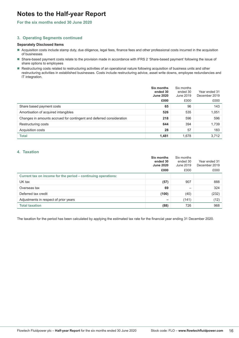#### **For the six months ended 30 June 2020**

#### **3. Operating Segments continued**

#### **Separately Disclosed Items**

- Acquisition costs include stamp duty, due diligence, legal fees, finance fees and other professional costs incurred in the acquisition of businesses
- Share-based payment costs relate to the provision made in accordance with IFRS 2 'Share-based payment' following the issue of share options to employees
- Restructuring costs related to restructuring activities of an operational nature following acquisition of business units and other restructuring activities in established businesses. Costs include restructuring advice, asset write downs, employee redundancies and IT integration.

|                                                                      | <b>Six months</b><br>ended 30<br><b>June 2020</b><br>£000 | Six months<br>ended 30<br>June 2019<br>£000 | Year ended 31<br>December 2019<br>£000 |
|----------------------------------------------------------------------|-----------------------------------------------------------|---------------------------------------------|----------------------------------------|
| Share based payment costs                                            | 65                                                        | 96                                          | 143                                    |
| Amortisation of acquired intangibles                                 | 526                                                       | 535                                         | 1,051                                  |
| Changes in amounts accrued for contingent and deferred consideration | 218                                                       | 596                                         | 596                                    |
| Restructuring costs                                                  | 644                                                       | 394                                         | 1,739                                  |
| Acquisition costs                                                    | 28                                                        | 57                                          | 183                                    |
| Total                                                                | 1.481                                                     | 1,678                                       | 3.712                                  |

#### **4. Taxation**

|                                                               | Six months<br>ended 30<br><b>June 2020</b><br>£000 | Six months<br>ended 30<br>June 2019<br>£000 | Year ended 31<br>December 2019<br>£000 |
|---------------------------------------------------------------|----------------------------------------------------|---------------------------------------------|----------------------------------------|
| Current tax on income for the period – continuing operations: |                                                    |                                             |                                        |
| UK tax                                                        | (57)                                               | 907                                         | 888                                    |
| Overseas tax                                                  | 69                                                 |                                             | 324                                    |
| Deferred tax credit                                           | (100)                                              | (40)                                        | (232)                                  |
| Adjustments in respect of prior years                         | -                                                  | (141)                                       | (12)                                   |
| <b>Total taxation</b>                                         | (88)                                               | 726                                         | 968                                    |

The taxation for the period has been calculated by applying the estimated tax rate for the financial year ending 31 December 2020.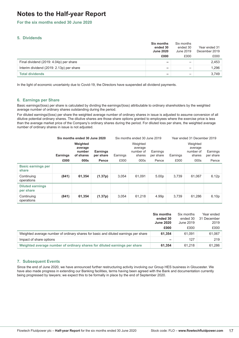#### **For the six months ended 30 June 2020**

#### **5. Dividends**

|                                          | <b>Six months</b><br>ended 30<br><b>June 2020</b> | Six months<br>ended 30<br>June 2019 | Year ended 31<br>December 2019 |
|------------------------------------------|---------------------------------------------------|-------------------------------------|--------------------------------|
|                                          | £000                                              | £000                                | £000                           |
| Final dividend (2019: 4.04p) per share   | -                                                 | -                                   | 2.453                          |
| Interim dividend (2019: 2.13p) per share | -                                                 |                                     | 1,296                          |
| <b>Total dividends</b>                   | -                                                 |                                     | 3.749                          |

In the light of economic uncertainty due to Covid-19, the Directors have suspended all dividend payments.

#### **6. Earnings per Share**

Basic earnings/(loss) per share is calculated by dividing the earnings/(loss) attributable to ordinary shareholders by the weighted average number of ordinary shares outstanding during the period.

For diluted earnings/(loss) per share the weighted average number of ordinary shares in issue is adjusted to assume conversion of all dilutive potential ordinary shares. The dilutive shares are those share options granted to employees where the exercise price is less than the average market price of the Company's ordinary shares during the period. For diluted loss per share, the weighted average number of ordinary shares in issue is not adjusted.

|                                      | Six months ended 30 June 2020 |                                            |                              | Six months ended 30 June 2019 |                                                                     |                   | Year ended 31 December 2019 |                                            |                       |
|--------------------------------------|-------------------------------|--------------------------------------------|------------------------------|-------------------------------|---------------------------------------------------------------------|-------------------|-----------------------------|--------------------------------------------|-----------------------|
|                                      | <b>Earnings</b>               | Weighted<br>average<br>number<br>of shares | <b>Earnings</b><br>per share | Earnings                      | Weighted<br>average<br>number of<br>Earnings<br>per share<br>shares |                   | Earnings                    | Weighted<br>average<br>number of<br>shares | Earnings<br>per share |
|                                      | £000                          | 000s                                       | Pence                        | £000                          | 000s                                                                | Pence             | £000                        | 000s                                       | Pence                 |
| <b>Basic earnings per</b><br>share   |                               |                                            |                              |                               |                                                                     |                   |                             |                                            |                       |
| Continuing<br>operations             | (841)                         | 61,354                                     | (1.37p)                      | 3.054                         | 61.091                                                              | 5.00 <sub>p</sub> | 3.739                       | 61.067                                     | 6.12p                 |
| <b>Diluted earnings</b><br>per share |                               |                                            |                              |                               |                                                                     |                   |                             |                                            |                       |
| Continuing<br>operations             | (841)                         | 61,354                                     | (1.37p)                      | 3.054                         | 61.218                                                              | 4.99p             | 3.739                       | 61.286                                     | 6.10p                 |

|                                                                                     | <b>Six months</b><br>ended 30<br><b>June 2020</b> | Six months<br>ended 30<br>June 2019 | Year ended<br>31 December<br>2019 |
|-------------------------------------------------------------------------------------|---------------------------------------------------|-------------------------------------|-----------------------------------|
|                                                                                     | £000                                              | £000                                | £000                              |
| Weighted average number of ordinary shares for basic and diluted earnings per share | 61.354                                            | 61.091                              | 61.067                            |
| Impact of share options                                                             | $\overline{\phantom{0}}$                          | 127                                 | 219                               |
| Weighted average number of ordinary shares for diluted earnings per share           | 61.354                                            | 61.218                              | 61.286                            |

#### **7. Subsequent Events**

Since the end of June 2020, we have announced further restructuring activity involving our Group HES business in Gloucester. We have also made progress in extending our Banking facilities, terms having been agreed with the Bank and documentation currently being progressed by lawyers; we expect this to be formally in place by the end of September 2020.